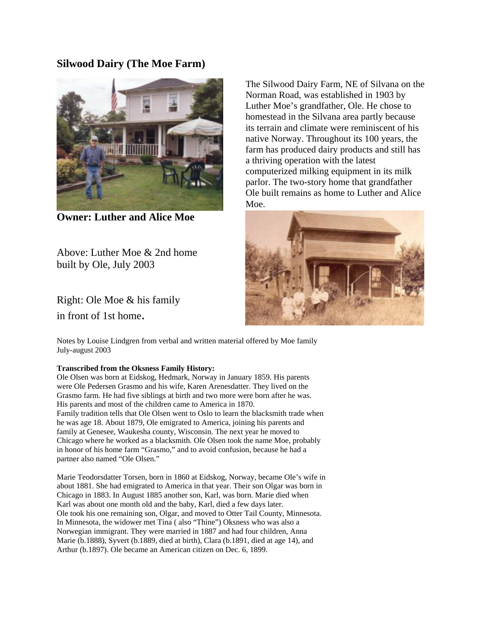## **Silwood Dairy (The Moe Farm)**



**Owner: Luther and Alice Moe**

Above: Luther Moe & 2nd home built by Ole, July 2003

Right: Ole Moe & his family in front of 1st home.

The Silwood Dairy Farm, NE of Silvana on the Norman Road, was established in 1903 by Luther Moe's grandfather, Ole. He chose to homestead in the Silvana area partly because its terrain and climate were reminiscent of his native Norway. Throughout its 100 years, the farm has produced dairy products and still has a thriving operation with the latest computerized milking equipment in its milk parlor. The two-story home that grandfather Ole built remains as home to Luther and Alice Moe.



Notes by Louise Lindgren from verbal and written material offered by Moe family July-august 2003

## **Transcribed from the Oksness Family History:**

Ole Olsen was born at Eidskog, Hedmark, Norway in January 1859. His parents were Ole Pedersen Grasmo and his wife, Karen Arenesdatter. They lived on the Grasmo farm. He had five siblings at birth and two more were born after he was. His parents and most of the children came to America in 1870. Family tradition tells that Ole Olsen went to Oslo to learn the blacksmith trade when he was age 18. About 1879, Ole emigrated to America, joining his parents and family at Genesee, Waukesha county, Wisconsin. The next year he moved to Chicago where he worked as a blacksmith. Ole Olsen took the name Moe, probably in honor of his home farm "Grasmo," and to avoid confusion, because he had a partner also named "Ole Olsen."

Marie Teodorsdatter Torsen, born in 1860 at Eidskog, Norway, became Ole's wife in about 1881. She had emigrated to America in that year. Their son Olgar was born in Chicago in 1883. In August 1885 another son, Karl, was born. Marie died when Karl was about one month old and the baby, Karl, died a few days later. Ole took his one remaining son, Olgar, and moved to Otter Tail County, Minnesota. In Minnesota, the widower met Tina ( also "Thine") Oksness who was also a Norwegian immigrant. They were married in 1887 and had four children, Anna Marie (b.1888), Syvert (b.1889, died at birth), Clara (b.1891, died at age 14), and Arthur (b.1897). Ole became an American citizen on Dec. 6, 1899.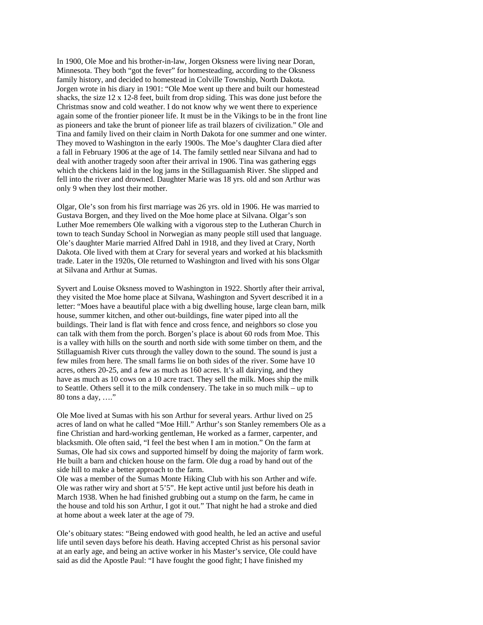In 1900, Ole Moe and his brother-in-law, Jorgen Oksness were living near Doran, Minnesota. They both "got the fever" for homesteading, according to the Oksness family history, and decided to homestead in Colville Township, North Dakota. Jorgen wrote in his diary in 1901: "Ole Moe went up there and built our homestead shacks, the size 12 x 12-8 feet, built from drop siding. This was done just before the Christmas snow and cold weather. I do not know why we went there to experience again some of the frontier pioneer life. It must be in the Vikings to be in the front line as pioneers and take the brunt of pioneer life as trail blazers of civilization." Ole and Tina and family lived on their claim in North Dakota for one summer and one winter. They moved to Washington in the early 1900s. The Moe's daughter Clara died after a fall in February 1906 at the age of 14. The family settled near Silvana and had to deal with another tragedy soon after their arrival in 1906. Tina was gathering eggs which the chickens laid in the log jams in the Stillaguamish River. She slipped and fell into the river and drowned. Daughter Marie was 18 yrs. old and son Arthur was only 9 when they lost their mother.

Olgar, Ole's son from his first marriage was 26 yrs. old in 1906. He was married to Gustava Borgen, and they lived on the Moe home place at Silvana. Olgar's son Luther Moe remembers Ole walking with a vigorous step to the Lutheran Church in town to teach Sunday School in Norwegian as many people still used that language. Ole's daughter Marie married Alfred Dahl in 1918, and they lived at Crary, North Dakota. Ole lived with them at Crary for several years and worked at his blacksmith trade. Later in the 1920s, Ole returned to Washington and lived with his sons Olgar at Silvana and Arthur at Sumas.

Syvert and Louise Oksness moved to Washington in 1922. Shortly after their arrival, they visited the Moe home place at Silvana, Washington and Syvert described it in a letter: "Moes have a beautiful place with a big dwelling house, large clean barn, milk house, summer kitchen, and other out-buildings, fine water piped into all the buildings. Their land is flat with fence and cross fence, and neighbors so close you can talk with them from the porch. Borgen's place is about 60 rods from Moe. This is a valley with hills on the sourth and north side with some timber on them, and the Stillaguamish River cuts through the valley down to the sound. The sound is just a few miles from here. The small farms lie on both sides of the river. Some have 10 acres, others 20-25, and a few as much as 160 acres. It's all dairying, and they have as much as 10 cows on a 10 acre tract. They sell the milk. Moes ship the milk to Seattle. Others sell it to the milk condensery. The take in so much milk – up to 80 tons a day, ...."

Ole Moe lived at Sumas with his son Arthur for several years. Arthur lived on 25 acres of land on what he called "Moe Hill." Arthur's son Stanley remembers Ole as a fine Christian and hard-working gentleman, He worked as a farmer, carpenter, and blacksmith. Ole often said, "I feel the best when I am in motion." On the farm at Sumas, Ole had six cows and supported himself by doing the majority of farm work. He built a barn and chicken house on the farm. Ole dug a road by hand out of the side hill to make a better approach to the farm.

Ole was a member of the Sumas Monte Hiking Club with his son Arther and wife. Ole was rather wiry and short at 5'5". He kept active until just before his death in March 1938. When he had finished grubbing out a stump on the farm, he came in the house and told his son Arthur, I got it out." That night he had a stroke and died at home about a week later at the age of 79.

Ole's obituary states: "Being endowed with good health, he led an active and useful life until seven days before his death. Having accepted Christ as his personal savior at an early age, and being an active worker in his Master's service, Ole could have said as did the Apostle Paul: "I have fought the good fight; I have finished my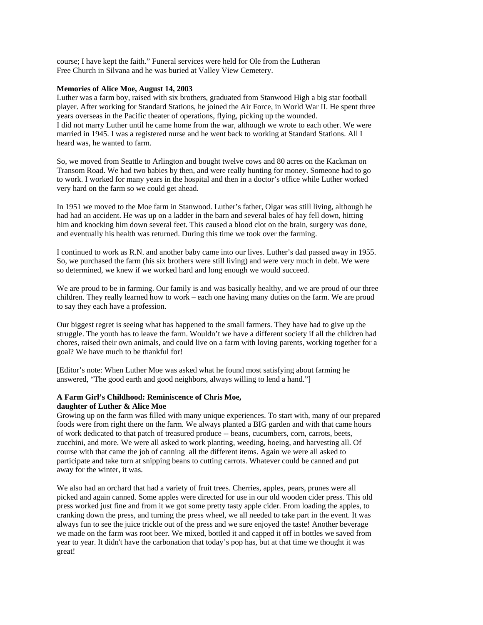course; I have kept the faith." Funeral services were held for Ole from the Lutheran Free Church in Silvana and he was buried at Valley View Cemetery.

## **Memories of Alice Moe, August 14, 2003**

Luther was a farm boy, raised with six brothers, graduated from Stanwood High a big star football player. After working for Standard Stations, he joined the Air Force, in World War II. He spent three years overseas in the Pacific theater of operations, flying, picking up the wounded. I did not marry Luther until he came home from the war, although we wrote to each other. We were married in 1945. I was a registered nurse and he went back to working at Standard Stations. All I heard was, he wanted to farm.

So, we moved from Seattle to Arlington and bought twelve cows and 80 acres on the Kackman on Transom Road. We had two babies by then, and were really hunting for money. Someone had to go to work. I worked for many years in the hospital and then in a doctor's office while Luther worked very hard on the farm so we could get ahead.

In 1951 we moved to the Moe farm in Stanwood. Luther's father, Olgar was still living, although he had had an accident. He was up on a ladder in the barn and several bales of hay fell down, hitting him and knocking him down several feet. This caused a blood clot on the brain, surgery was done, and eventually his health was returned. During this time we took over the farming.

I continued to work as R.N. and another baby came into our lives. Luther's dad passed away in 1955. So, we purchased the farm (his six brothers were still living) and were very much in debt. We were so determined, we knew if we worked hard and long enough we would succeed.

We are proud to be in farming. Our family is and was basically healthy, and we are proud of our three children. They really learned how to work – each one having many duties on the farm. We are proud to say they each have a profession.

Our biggest regret is seeing what has happened to the small farmers. They have had to give up the struggle. The youth has to leave the farm. Wouldn't we have a different society if all the children had chores, raised their own animals, and could live on a farm with loving parents, working together for a goal? We have much to be thankful for!

[Editor's note: When Luther Moe was asked what he found most satisfying about farming he answered, "The good earth and good neighbors, always willing to lend a hand."]

## **A Farm Girl's Childhood: Reminiscence of Chris Moe, daughter of Luther & Alice Moe**

Growing up on the farm was filled with many unique experiences. To start with, many of our prepared foods were from right there on the farm. We always planted a BIG garden and with that came hours of work dedicated to that patch of treasured produce -- beans, cucumbers, corn, carrots, beets, zucchini, and more. We were all asked to work planting, weeding, hoeing, and harvesting all. Of course with that came the job of canning all the different items. Again we were all asked to participate and take turn at snipping beans to cutting carrots. Whatever could be canned and put away for the winter, it was.

We also had an orchard that had a variety of fruit trees. Cherries, apples, pears, prunes were all picked and again canned. Some apples were directed for use in our old wooden cider press. This old press worked just fine and from it we got some pretty tasty apple cider. From loading the apples, to cranking down the press, and turning the press wheel, we all needed to take part in the event. It was always fun to see the juice trickle out of the press and we sure enjoyed the taste! Another beverage we made on the farm was root beer. We mixed, bottled it and capped it off in bottles we saved from year to year. It didn't have the carbonation that today's pop has, but at that time we thought it was great!